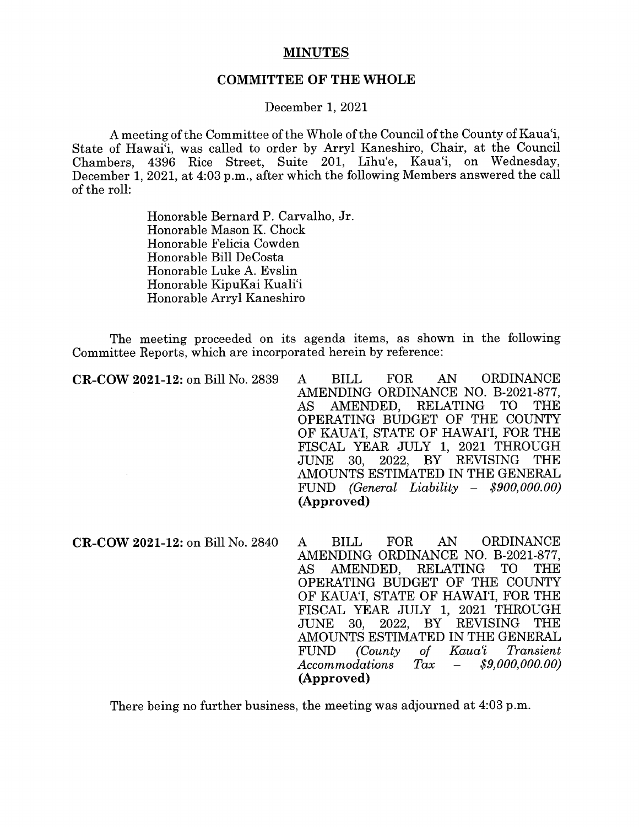## MINUTES

## COMMITTEE OF THE WHOLE

## December 1, 2021

A meeting ofthe Committee ofthe Whole of the Council of the County of Kaua'i, State of Hawai'i, was called to order by Arryl Kaneshiro, Chair, at the Council Chambers, 4396 Rice Street, Suite 201, Lihu'e, Kaua'i, on Wednesday, December 1, 2021, at 4:03 p.m., after which the following Members answered the call of the roll:

> Honorable Bernard P. Carvalho, Jr. Honorable Mason K. Chock Honorable Felicia Cowden Honorable Bill DeCosta Honorable Luke A. Evslin Honorable KipuKai Kuali'i Honorable Arryl Kaneshiro

The meeting proceeded on its agenda items, as shown in the following Committee Reports, which are incorporated herein by reference:

| CR-COW 2021-12: on Bill No. 2839 | FOR AN ORDINANCE<br><b>BILL</b><br>$\boldsymbol{A}$ |
|----------------------------------|-----------------------------------------------------|
|                                  | AMENDING ORDINANCE NO. B-2021-877,                  |
|                                  | AS AMENDED, RELATING TO THE                         |
|                                  | OPERATING BUDGET OF THE COUNTY                      |
|                                  | OF KAUA'I, STATE OF HAWAI'I, FOR THE                |
|                                  | FISCAL YEAR JULY 1, 2021 THROUGH                    |
|                                  | JUNE 30, 2022, BY REVISING THE                      |
|                                  | AMOUNTS ESTIMATED IN THE GENERAL                    |
|                                  | FUND (General Liability - $$900,000.00$ )           |
|                                  | (Approved)                                          |
|                                  |                                                     |
|                                  |                                                     |

CR-COW 2021-12: on Bill No. 2840 A BILL FOR AN ORDINANCE AMENDING ORDINANCE NO. B-2021-877, AS AMENDED, RELATING TO THE OPERATING BUDGET OF THE COUNTY OF KAUA'I, STATE OF HAWAI'I, FOR THE FISCAL YEAR JULY 1, 2021 THROUGH 2022. BY REVISING THE AMOUNTS ESTIMATED IN THE GENERAL<br>FUND (County of Kaua'i Transient FUND (County of Kaua'i Transient Accommodations Tax — \$9,000,000.00) (Approved)

There being no further business, the meeting was adjourned at 4:03 p.m.